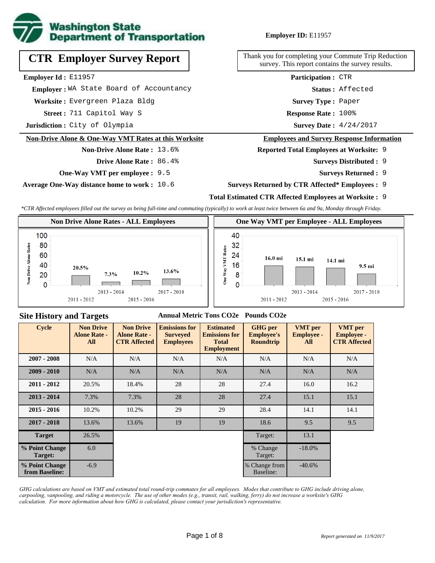

# **CTR Employer Survey Report**

**Employer Id :** E11957

 **Employer :** WA State Board of Accountancy

**Worksite :** Evergreen Plaza Bldg

711 Capitol Way S **Response Rate : Street :**

**Jurisdiction :** City of Olympia

#### **Non-Drive Alone & One-Way VMT Rates at this Worksite**

#### **Non-Drive Alone Rate :** 13.6%

**Drive Alone Rate :** 86.4%

**One-Way VMT per employee :** 9.5

**Average One-Way distance home to work :** 10.6

**Employer ID:** E11957

Thank you for completing your Commute Trip Reduction survey. This report contains the survey results.

> **Status :** Affected **Participation :** CTR

**Survey Type :** Paper

Response Rate: 100%

Survey Date:  $4/24/2017$ 

#### **Employees and Survey Response Information**

**Reported Total Employees at Worksite:** 9

- 9 **Surveys Distributed :**
	- **Surveys Returned :** 9

### **Surveys Returned by CTR Affected\* Employees :** 9

### **Total Estimated CTR Affected Employees at Worksite :** 9

*\*CTR Affected employees filled out the survey as being full-time and commuting (typically) to work at least twice between 6a and 9a, Monday through Friday.*



### **Site History and Targets**

### **Annual Metric Tons CO2e Pounds CO2e**

| <b>Cycle</b>                     | <b>Non Drive</b><br><b>Alone Rate -</b><br>All | <b>Non Drive</b><br><b>Alone Rate -</b><br><b>CTR Affected</b> | <b>Emissions for</b><br><b>Surveyed</b><br><b>Employees</b> | <b>Estimated</b><br><b>Emissions for</b><br><b>Total</b><br><b>Employment</b> | <b>GHG</b> per<br><b>Employee's</b><br><b>Roundtrip</b> | <b>VMT</b> per<br><b>Employee -</b><br>All | <b>VMT</b> per<br><b>Employee -</b><br><b>CTR Affected</b> |
|----------------------------------|------------------------------------------------|----------------------------------------------------------------|-------------------------------------------------------------|-------------------------------------------------------------------------------|---------------------------------------------------------|--------------------------------------------|------------------------------------------------------------|
| $2007 - 2008$                    | N/A                                            | N/A                                                            | N/A                                                         | N/A                                                                           | N/A                                                     | N/A                                        | N/A                                                        |
| $2009 - 2010$                    | N/A                                            | N/A                                                            | N/A                                                         | N/A                                                                           | N/A                                                     | N/A                                        | N/A                                                        |
| $2011 - 2012$                    | 20.5%                                          | 18.4%                                                          | 28                                                          | 28                                                                            | 27.4                                                    | 16.0                                       | 16.2                                                       |
| $2013 - 2014$                    | 7.3%                                           | 7.3%                                                           | 28                                                          | 28                                                                            | 27.4                                                    | 15.1                                       | 15.1                                                       |
| $2015 - 2016$                    | 10.2%                                          | 10.2%                                                          | 29                                                          | 29                                                                            | 28.4                                                    | 14.1                                       | 14.1                                                       |
| $2017 - 2018$                    | 13.6%                                          | 13.6%                                                          | 19                                                          | 19                                                                            | 18.6                                                    | 9.5                                        | 9.5                                                        |
| <b>Target</b>                    | 26.5%                                          |                                                                |                                                             |                                                                               | Target:                                                 | 13.1                                       |                                                            |
| % Point Change<br>Target:        | 6.0                                            |                                                                |                                                             |                                                                               | % Change<br>Target:                                     | $-18.0\%$                                  |                                                            |
| % Point Change<br>from Baseline: | $-6.9$                                         |                                                                |                                                             |                                                                               | % Change from<br>Baseline:                              | $-40.6%$                                   |                                                            |

*GHG calculations are based on VMT and estimated total round-trip commutes for all employees. Modes that contribute to GHG include driving alone, carpooling, vanpooling, and riding a motorcycle. The use of other modes (e.g., transit, rail, walking, ferry) do not increase a worksite's GHG calculation. For more information about how GHG is calculated, please contact your jurisdiction's representative.*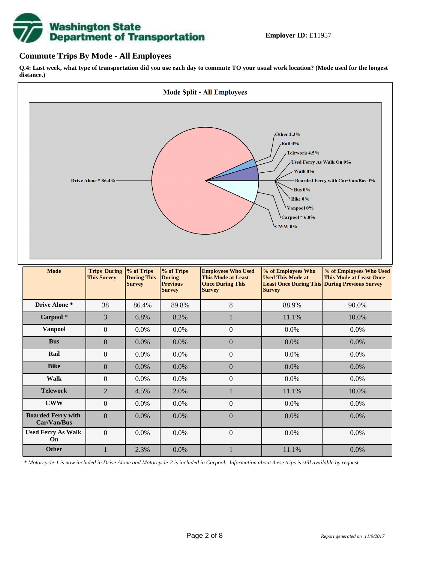

### **Commute Trips By Mode - All Employees**

**Q.4: Last week, what type of transportation did you use each day to commute TO your usual work location? (Mode used for the longest distance.)**



*\* Motorcycle-1 is now included in Drive Alone and Motorcycle-2 is included in Carpool. Information about these trips is still available by request.*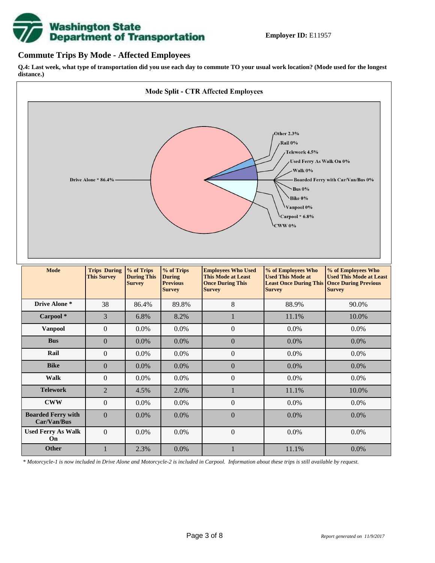

### **Commute Trips By Mode - Affected Employees**

**Q.4: Last week, what type of transportation did you use each day to commute TO your usual work location? (Mode used for the longest distance.)**



*\* Motorcycle-1 is now included in Drive Alone and Motorcycle-2 is included in Carpool. Information about these trips is still available by request.*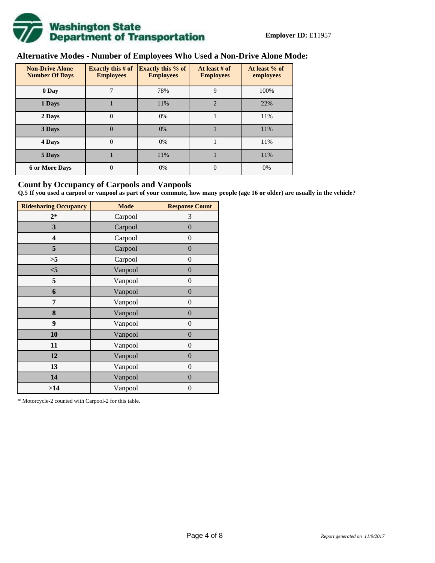

# **Alternative Modes - Number of Employees Who Used a Non-Drive Alone Mode:**

| <b>Non-Drive Alone</b><br><b>Number Of Days</b> | Exactly this $# of$<br><b>Employees</b> | <b>Exactly this % of</b><br><b>Employees</b> | At least # of<br><b>Employees</b> | At least % of<br>employees |  |  |
|-------------------------------------------------|-----------------------------------------|----------------------------------------------|-----------------------------------|----------------------------|--|--|
| 0 Day                                           | 7                                       | 78%                                          | 9                                 | 100%                       |  |  |
| 1 Days                                          |                                         | 11%                                          | $\overline{2}$                    | 22%                        |  |  |
| 2 Days                                          | $\overline{0}$                          | 0%                                           |                                   | 11%                        |  |  |
| 3 Days                                          | $\theta$                                | 0%                                           |                                   | 11%                        |  |  |
| 4 Days                                          | $\overline{0}$                          | 0%                                           |                                   | 11%                        |  |  |
| 5 Days                                          |                                         | 11%                                          |                                   | 11%                        |  |  |
| <b>6 or More Days</b>                           | 0                                       | 0%                                           | $\theta$                          | 0%                         |  |  |

## **Count by Occupancy of Carpools and Vanpools**

**Q.5 If you used a carpool or vanpool as part of your commute, how many people (age 16 or older) are usually in the vehicle?**

| <b>Ridesharing Occupancy</b> | <b>Mode</b> | <b>Response Count</b> |
|------------------------------|-------------|-----------------------|
| $2*$                         | Carpool     | 3                     |
| 3                            | Carpool     | $\overline{0}$        |
| 4                            | Carpool     | $\boldsymbol{0}$      |
| 5                            | Carpool     | $\boldsymbol{0}$      |
| >5                           | Carpool     | $\boldsymbol{0}$      |
| $<$ 5                        | Vanpool     | $\overline{0}$        |
| 5                            | Vanpool     | $\overline{0}$        |
| 6                            | Vanpool     | $\boldsymbol{0}$      |
| 7                            | Vanpool     | $\boldsymbol{0}$      |
| 8                            | Vanpool     | $\overline{0}$        |
| 9                            | Vanpool     | $\overline{0}$        |
| 10                           | Vanpool     | $\overline{0}$        |
| 11                           | Vanpool     | $\boldsymbol{0}$      |
| 12                           | Vanpool     | $\boldsymbol{0}$      |
| 13                           | Vanpool     | $\boldsymbol{0}$      |
| 14                           | Vanpool     | $\overline{0}$        |
| >14                          | Vanpool     | $\boldsymbol{0}$      |

\* Motorcycle-2 counted with Carpool-2 for this table.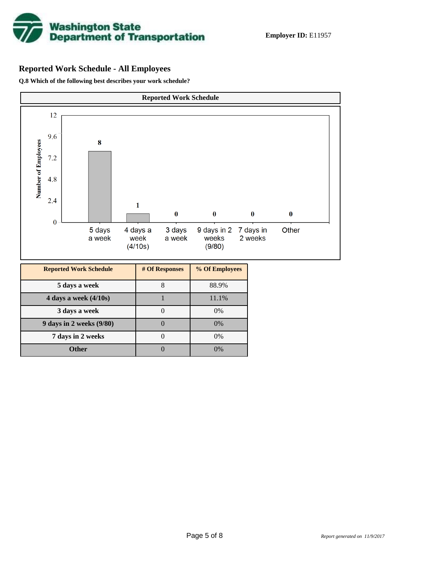

# **Reported Work Schedule - All Employees**

**Q.8 Which of the following best describes your work schedule?**

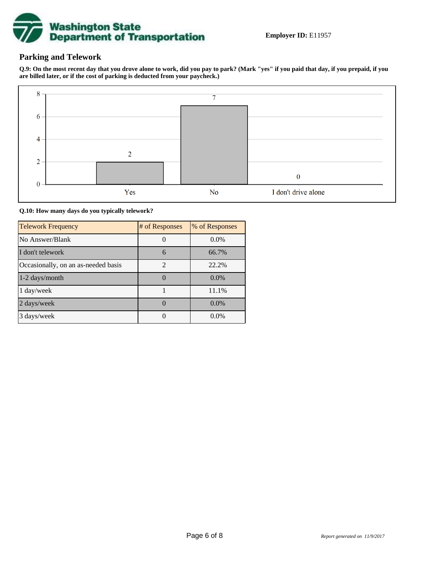

# **Parking and Telework**

**Q.9: On the most recent day that you drove alone to work, did you pay to park? (Mark "yes" if you paid that day, if you prepaid, if you are billed later, or if the cost of parking is deducted from your paycheck.)**



**Q.10: How many days do you typically telework?**

| <b>Telework Frequency</b>           | # of Responses | % of Responses |
|-------------------------------------|----------------|----------------|
| No Answer/Blank                     |                | $0.0\%$        |
| I don't telework                    | 6              | 66.7%          |
| Occasionally, on an as-needed basis | $\mathfrak{D}$ | 22.2%          |
| 1-2 days/month                      |                | $0.0\%$        |
| 1 day/week                          |                | 11.1%          |
| 2 days/week                         |                | 0.0%           |
| 3 days/week                         |                | $0.0\%$        |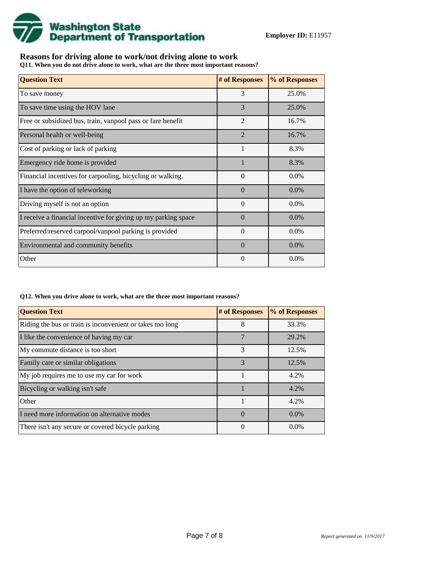

# **Reasons for driving alone to work/not driving alone to work**

**Q11. When you do not drive alone to work, what are the three most important reasons?**

| <b>Question Text</b>                                           | # of Responses | % of Responses |
|----------------------------------------------------------------|----------------|----------------|
| To save money                                                  | 3              | 25.0%          |
| To save time using the HOV lane                                | 3              | 25.0%          |
| Free or subsidized bus, train, vanpool pass or fare benefit    | $\overline{2}$ | 16.7%          |
| Personal health or well-being                                  | $\overline{2}$ | 16.7%          |
| Cost of parking or lack of parking                             | 1              | 8.3%           |
| Emergency ride home is provided                                |                | 8.3%           |
| Financial incentives for carpooling, bicycling or walking.     | $\Omega$       | $0.0\%$        |
| I have the option of teleworking                               | $\Omega$       | $0.0\%$        |
| Driving myself is not an option                                | $\Omega$       | $0.0\%$        |
| I receive a financial incentive for giving up my parking space | $\Omega$       | $0.0\%$        |
| Preferred/reserved carpool/vanpool parking is provided         | $\Omega$       | $0.0\%$        |
| Environmental and community benefits                           | $\Omega$       | $0.0\%$        |
| Other                                                          | $\theta$       | $0.0\%$        |

#### **Q12. When you drive alone to work, what are the three most important reasons?**

| <b>Question Text</b>                                      | # of Responses | % of Responses |
|-----------------------------------------------------------|----------------|----------------|
| Riding the bus or train is inconvenient or takes too long | 8              | 33.3%          |
| I like the convenience of having my car                   | 7              | 29.2%          |
| My commute distance is too short                          | 3              | 12.5%          |
| Family care or similar obligations                        | 3              | 12.5%          |
| My job requires me to use my car for work                 |                | 4.2%           |
| Bicycling or walking isn't safe                           |                | 4.2%           |
| Other                                                     | 1              | 4.2%           |
| I need more information on alternative modes              | $\Omega$       | $0.0\%$        |
| There isn't any secure or covered bicycle parking         | $\Omega$       | $0.0\%$        |